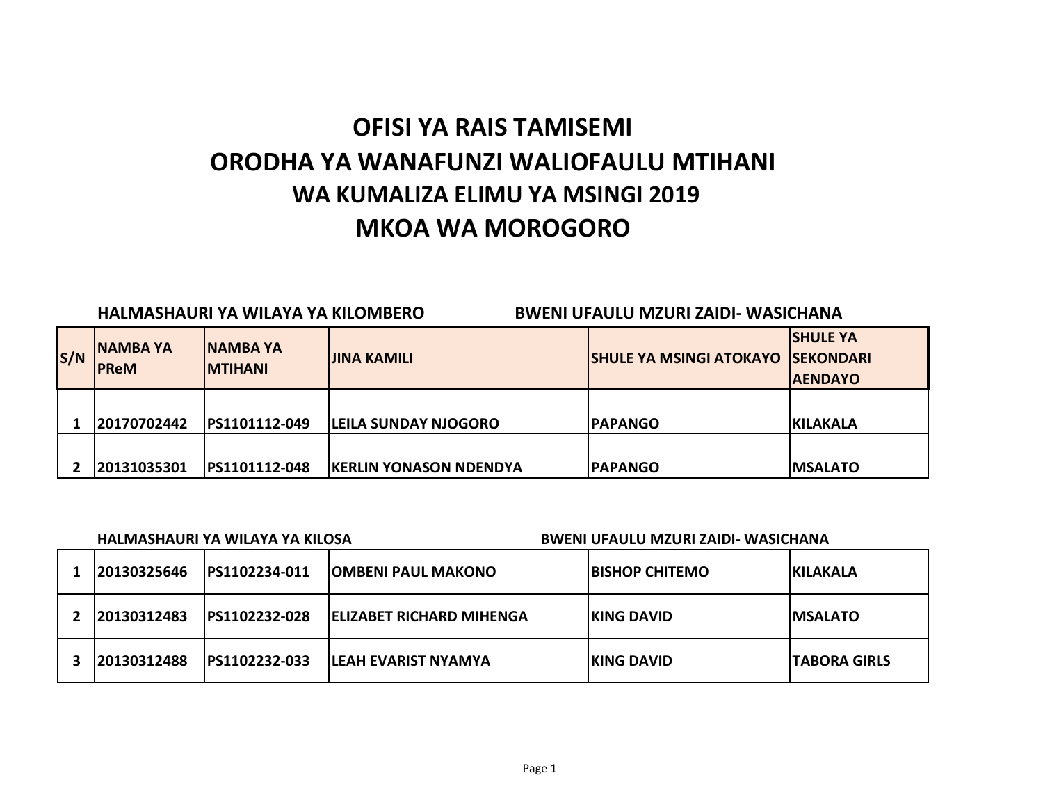# **OFISI YA RAIS TAMISEMI ORODHA YA WANAFUNZI WALIOFAULU MTIHANI MKOA WA MOROGORO WA KUMALIZA ELIMU YA MSINGI 2019**

|     |                               | HALMASHAURI YA WILAYA YA KILOMBERO  |                               | <b>BWENI UFAULU MZURI ZAIDI- WASICHANA</b> |                                                        |  |
|-----|-------------------------------|-------------------------------------|-------------------------------|--------------------------------------------|--------------------------------------------------------|--|
| S/N | <b>NAMBAYA</b><br><b>PReM</b> | <b>INAMBA YA</b><br><b>IMTIHANI</b> | <b>JINA KAMILI</b>            | <b>SHULE YA MSINGI ATOKAYO</b>             | <b>SHULE YA</b><br><b>ISEKONDARI</b><br><b>AENDAYO</b> |  |
|     | 20170702442                   | PS1101112-049                       | <b>LEILA SUNDAY NJOGORO</b>   | <b>PAPANGO</b>                             | <b>KILAKALA</b>                                        |  |
|     | 20131035301                   | PS1101112-048                       | <b>KERLIN YONASON NDENDYA</b> | <b>PAPANGO</b>                             | <b>MSALATO</b>                                         |  |

| HALMASHAURI YA WILAYA YA KILOSA |                       |                                  | BWENI UFAULU MZURI ZAIDI- WASICHANA |                      |  |
|---------------------------------|-----------------------|----------------------------------|-------------------------------------|----------------------|--|
| 20130325646                     | IPS1102234-011        | <b>IOMBENI PAUL MAKONO</b>       | <b>IBISHOP CHITEMO</b>              | <b>IKILAKALA</b>     |  |
| 20130312483                     | PS1102232-028         | <b>IELIZABET RICHARD MIHENGA</b> | <b>IKING DAVID</b>                  | <b>IMSALATO</b>      |  |
| 20130312488                     | <b>IPS1102232-033</b> | ILEAH EVARIST NYAMYA             | <b>IKING DAVID</b>                  | <b>ITABORA GIRLS</b> |  |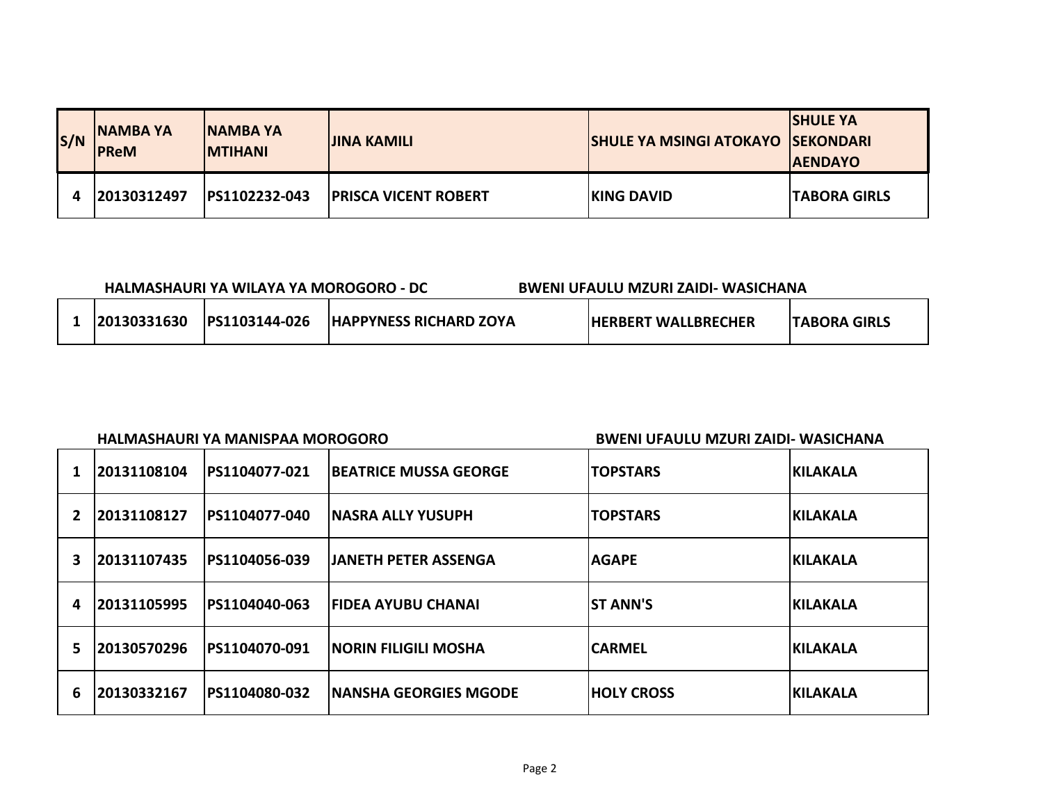| S/N | <b>INAMBA YA</b><br><b>PReM</b> | <b>INAMBA YA</b><br><b>IMTIHANI</b> | <b>JINA KAMILI</b>          | <b>SHULE YA MSINGI ATOKAYO SEKONDARI</b> | <b>SHULE YA</b><br><b>AENDAYO</b> |
|-----|---------------------------------|-------------------------------------|-----------------------------|------------------------------------------|-----------------------------------|
|     | 120130312497                    | PS1102232-043                       | <b>PRISCA VICENT ROBERT</b> | <b>IKING DAVID</b>                       | <b>TABORA GIRLS</b>               |

| HALMASHAURI YA WILAYA YA MOROGORO - DC |             |                       |                               | BWENI UFAULU MZURI ZAIDI- WASICHANA |                      |
|----------------------------------------|-------------|-----------------------|-------------------------------|-------------------------------------|----------------------|
|                                        | 20130331630 | <b>IPS1103144-026</b> | <b>HAPPYNESS RICHARD ZOYA</b> | <b>IHERBERT WALLBRECHER</b>         | <b>ITABORA GIRLS</b> |

### **HALMASHAURI YA MANISPAA MOROGORO BWENI UFAULU MZURI ZAIDI- WASICHANA**

|   | 20131108104 | PS1104077-021 | <b>BEATRICE MUSSA GEORGE</b> | <b>TOPSTARS</b>   | <b>IKILAKALA</b> |
|---|-------------|---------------|------------------------------|-------------------|------------------|
| 2 | 20131108127 | PS1104077-040 | <b>INASRA ALLY YUSUPH</b>    | <b>TOPSTARS</b>   | <b>KILAKALA</b>  |
| 3 | 20131107435 | PS1104056-039 | <b>JANETH PETER ASSENGA</b>  | <b>AGAPE</b>      | <b>IKILAKALA</b> |
| 4 | 20131105995 | PS1104040-063 | <b>IFIDEA AYUBU CHANAI</b>   | <b>ST ANN'S</b>   | <b>KILAKALA</b>  |
| 5 | 20130570296 | PS1104070-091 | <b>INORIN FILIGILI MOSHA</b> | <b>CARMEL</b>     | <b>KILAKALA</b>  |
| 6 | 20130332167 | PS1104080-032 | <b>NANSHA GEORGIES MGODE</b> | <b>HOLY CROSS</b> | <b>IKILAKALA</b> |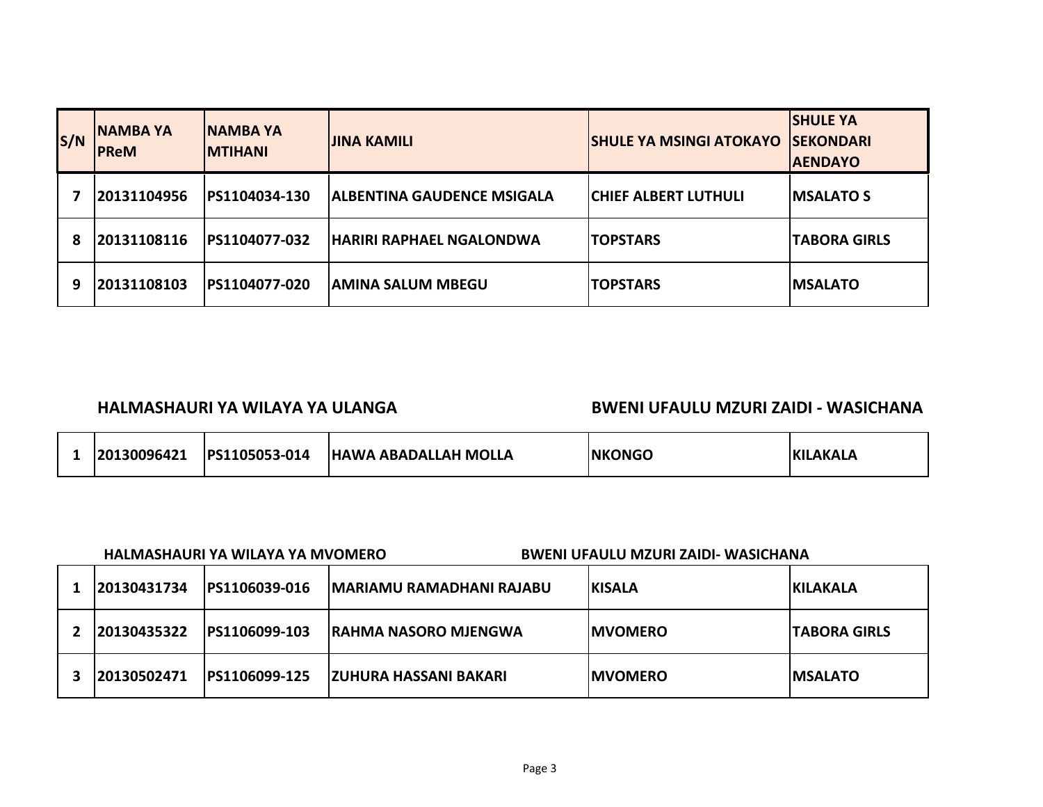| S/N | <b>INAMBA YA</b><br><b>PReM</b> | <b>INAMBA YA</b><br><b>IMTIHANI</b> | <b>JINA KAMILI</b>              | <b>SHULE YA MSINGI ATOKAYO</b> | <b>SHULE YA</b><br><b>ISEKONDARI</b><br><b>AENDAYO</b> |
|-----|---------------------------------|-------------------------------------|---------------------------------|--------------------------------|--------------------------------------------------------|
|     | 20131104956                     | PS1104034-130                       | IALBENTINA GAUDENCE MSIGALA     | <b>ICHIEF ALBERT LUTHULI</b>   | <b>IMSALATO S</b>                                      |
| 8   | 20131108116                     | PS1104077-032                       | <b>HARIRI RAPHAEL NGALONDWA</b> | <b>TOPSTARS</b>                | <b>TABORA GIRLS</b>                                    |
| 9   | 20131108103                     | PS1104077-020                       | <b>AMINA SALUM MBEGU</b>        | <b>TOPSTARS</b>                | <b>IMSALATO</b>                                        |

## **HALMASHAURI YA WILAYA YA ULANGA BWENI UFAULU MZURI ZAIDI - WASICHANA**

|  | 20130096421 | PS1105053-014 | <b>HAWA ABADALLAH MOLLA</b> | <b>INKONGO</b> | LAKALA<br><b>KI</b> |
|--|-------------|---------------|-----------------------------|----------------|---------------------|
|--|-------------|---------------|-----------------------------|----------------|---------------------|

| HALMASHAURI YA WILAYA YA MVOMERO | <b>BWENI UFAULU MZURI ZAIDI- WASICHANA</b> |
|----------------------------------|--------------------------------------------|
|                                  |                                            |

| 120130431734 | PS1106039-016         | <b>MARIAMU RAMADHANI RAJABU</b> | <b>IKISALA</b>  | <b>IKILAKALA</b>     |
|--------------|-----------------------|---------------------------------|-----------------|----------------------|
| 20130435322  | <b>IPS1106099-103</b> | <b>IRAHMA NASORO MJENGWA</b>    | <b>IMVOMERO</b> | <b>ITABORA GIRLS</b> |
| 120130502471 | PS1106099-125         | IZUHURA HASSANI BAKARI          | <b>IMVOMERO</b> | <b>IMSALATO</b>      |